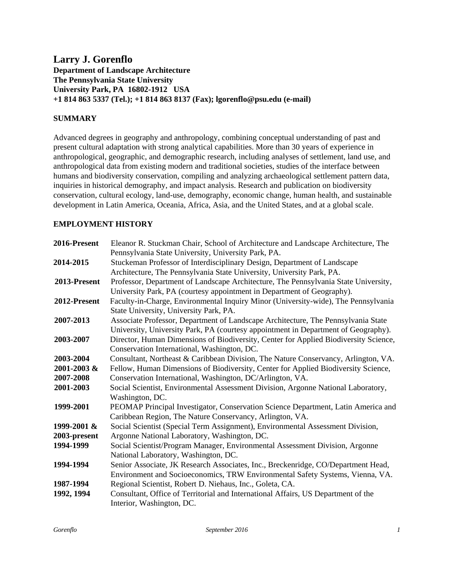# **Larry J. Gorenflo Department of Landscape Architecture The Pennsylvania State University University Park, PA 16802-1912 USA +1 814 863 5337 (Tel.); +1 814 863 8137 (Fax); lgorenflo@psu.edu (e-mail)**

# **SUMMARY**

Advanced degrees in geography and anthropology, combining conceptual understanding of past and present cultural adaptation with strong analytical capabilities. More than 30 years of experience in anthropological, geographic, and demographic research, including analyses of settlement, land use, and anthropological data from existing modern and traditional societies, studies of the interface between humans and biodiversity conservation, compiling and analyzing archaeological settlement pattern data, inquiries in historical demography, and impact analysis. Research and publication on biodiversity conservation, cultural ecology, land-use, demography, economic change, human health, and sustainable development in Latin America, Oceania, Africa, Asia, and the United States, and at a global scale.

## **EMPLOYMENT HISTORY**

| 2016-Present | Eleanor R. Stuckman Chair, School of Architecture and Landscape Architecture, The    |
|--------------|--------------------------------------------------------------------------------------|
|              | Pennsylvania State University, University Park, PA.                                  |
| 2014-2015    | Stuckeman Professor of Interdisciplinary Design, Department of Landscape             |
|              | Architecture, The Pennsylvania State University, University Park, PA.                |
| 2013-Present | Professor, Department of Landscape Architecture, The Pennsylvania State University,  |
|              | University Park, PA (courtesy appointment in Department of Geography).               |
| 2012-Present | Faculty-in-Charge, Environmental Inquiry Minor (University-wide), The Pennsylvania   |
|              | State University, University Park, PA.                                               |
| 2007-2013    | Associate Professor, Department of Landscape Architecture, The Pennsylvania State    |
|              | University, University Park, PA (courtesy appointment in Department of Geography).   |
| 2003-2007    | Director, Human Dimensions of Biodiversity, Center for Applied Biodiversity Science, |
|              | Conservation International, Washington, DC.                                          |
| 2003-2004    | Consultant, Northeast & Caribbean Division, The Nature Conservancy, Arlington, VA.   |
| 2001-2003 &  | Fellow, Human Dimensions of Biodiversity, Center for Applied Biodiversity Science,   |
| 2007-2008    | Conservation International, Washington, DC/Arlington, VA.                            |
| 2001-2003    | Social Scientist, Environmental Assessment Division, Argonne National Laboratory,    |
|              | Washington, DC.                                                                      |
| 1999-2001    | PEOMAP Principal Investigator, Conservation Science Department, Latin America and    |
|              | Caribbean Region, The Nature Conservancy, Arlington, VA.                             |
| 1999-2001 &  | Social Scientist (Special Term Assignment), Environmental Assessment Division,       |
| 2003-present | Argonne National Laboratory, Washington, DC.                                         |
| 1994-1999    | Social Scientist/Program Manager, Environmental Assessment Division, Argonne         |
|              | National Laboratory, Washington, DC.                                                 |
| 1994-1994    | Senior Associate, JK Research Associates, Inc., Breckenridge, CO/Department Head,    |
|              | Environment and Socioeconomics, TRW Environmental Safety Systems, Vienna, VA.        |
| 1987-1994    | Regional Scientist, Robert D. Niehaus, Inc., Goleta, CA.                             |
| 1992, 1994   | Consultant, Office of Territorial and International Affairs, US Department of the    |
|              | Interior, Washington, DC.                                                            |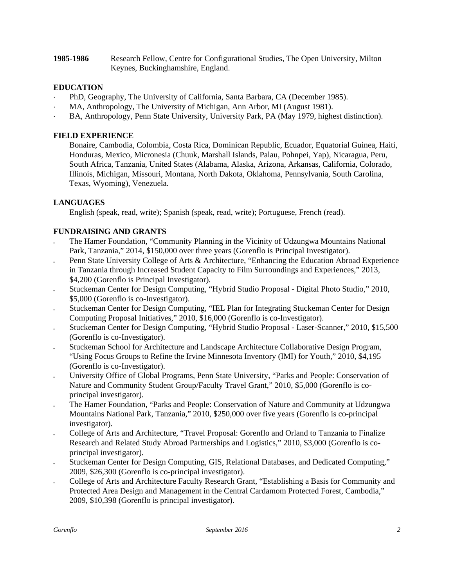**1985-1986** Research Fellow, Centre for Configurational Studies, The Open University, Milton Keynes, Buckinghamshire, England.

## **EDUCATION**

- PhD, Geography, The University of California, Santa Barbara, CA (December 1985).
- MA, Anthropology, The University of Michigan, Ann Arbor, MI (August 1981).
- BA, Anthropology, Penn State University, University Park, PA (May 1979, highest distinction).

## **FIELD EXPERIENCE**

Bonaire, Cambodia, Colombia, Costa Rica, Dominican Republic, Ecuador, Equatorial Guinea, Haiti, Honduras, Mexico, Micronesia (Chuuk, Marshall Islands, Palau, Pohnpei, Yap), Nicaragua, Peru, South Africa, Tanzania, United States (Alabama, Alaska, Arizona, Arkansas, California, Colorado, Illinois, Michigan, Missouri, Montana, North Dakota, Oklahoma, Pennsylvania, South Carolina, Texas, Wyoming), Venezuela.

## **LANGUAGES**

English (speak, read, write); Spanish (speak, read, write); Portuguese, French (read).

## **FUNDRAISING AND GRANTS**

- The Hamer Foundation, "Community Planning in the Vicinity of Udzungwa Mountains National Park, Tanzania," 2014, \$150,000 over three years (Gorenflo is Principal Investigator).
- Penn State University College of Arts & Architecture, "Enhancing the Education Abroad Experience in Tanzania through Increased Student Capacity to Film Surroundings and Experiences," 2013, \$4,200 (Gorenflo is Principal Investigator).
- Stuckeman Center for Design Computing, "Hybrid Studio Proposal Digital Photo Studio," 2010, \$5,000 (Gorenflo is co-Investigator).
- Stuckeman Center for Design Computing, "IEL Plan for Integrating Stuckeman Center for Design Computing Proposal Initiatives," 2010, \$16,000 (Gorenflo is co-Investigator).
- Stuckeman Center for Design Computing, "Hybrid Studio Proposal Laser-Scanner," 2010, \$15,500 (Gorenflo is co-Investigator).
- Stuckeman School for Architecture and Landscape Architecture Collaborative Design Program, "Using Focus Groups to Refine the Irvine Minnesota Inventory (IMI) for Youth," 2010, \$4,195 (Gorenflo is co-Investigator).
- University Office of Global Programs, Penn State University, "Parks and People: Conservation of Nature and Community Student Group/Faculty Travel Grant," 2010, \$5,000 (Gorenflo is coprincipal investigator).
- The Hamer Foundation, "Parks and People: Conservation of Nature and Community at Udzungwa Mountains National Park, Tanzania," 2010, \$250,000 over five years (Gorenflo is co-principal investigator).
- College of Arts and Architecture, "Travel Proposal: Gorenflo and Orland to Tanzania to Finalize Research and Related Study Abroad Partnerships and Logistics," 2010, \$3,000 (Gorenflo is coprincipal investigator).
- Stuckeman Center for Design Computing, GIS, Relational Databases, and Dedicated Computing," 2009, \$26,300 (Gorenflo is co-principal investigator).
- College of Arts and Architecture Faculty Research Grant, "Establishing a Basis for Community and Protected Area Design and Management in the Central Cardamom Protected Forest, Cambodia," 2009, \$10,398 (Gorenflo is principal investigator).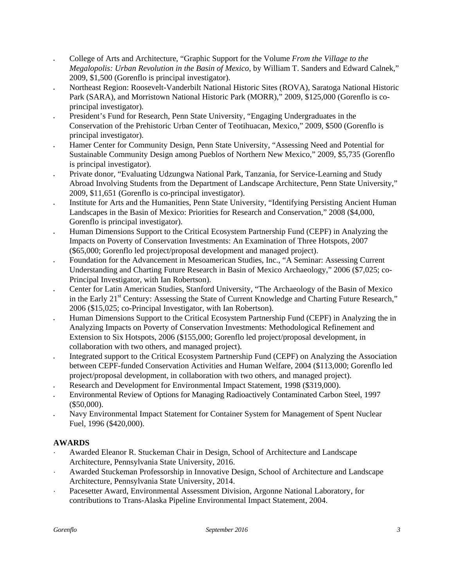- College of Arts and Architecture, "Graphic Support for the Volume *From the Village to the Megalopolis: Urban Revolution in the Basin of Mexico*, by William T. Sanders and Edward Calnek," 2009, \$1,500 (Gorenflo is principal investigator).
- Northeast Region: Roosevelt-Vanderbilt National Historic Sites (ROVA), Saratoga National Historic Park (SARA), and Morristown National Historic Park (MORR)," 2009, \$125,000 (Gorenflo is coprincipal investigator).
- President's Fund for Research, Penn State University, "Engaging Undergraduates in the Conservation of the Prehistoric Urban Center of Teotihuacan, Mexico," 2009, \$500 (Gorenflo is principal investigator).
- Hamer Center for Community Design, Penn State University, "Assessing Need and Potential for Sustainable Community Design among Pueblos of Northern New Mexico," 2009, \$5,735 (Gorenflo is principal investigator).
- Private donor, "Evaluating Udzungwa National Park, Tanzania, for Service-Learning and Study Abroad Involving Students from the Department of Landscape Architecture, Penn State University," 2009, \$11,651 (Gorenflo is co-principal investigator).
- Institute for Arts and the Humanities, Penn State University, "Identifying Persisting Ancient Human Landscapes in the Basin of Mexico: Priorities for Research and Conservation," 2008 (\$4,000, Gorenflo is principal investigator).
- Human Dimensions Support to the Critical Ecosystem Partnership Fund (CEPF) in Analyzing the Impacts on Poverty of Conservation Investments: An Examination of Three Hotspots, 2007 (\$65,000; Gorenflo led project/proposal development and managed project).
- Foundation for the Advancement in Mesoamerican Studies, Inc., "A Seminar: Assessing Current Understanding and Charting Future Research in Basin of Mexico Archaeology," 2006 (\$7,025; co-Principal Investigator, with Ian Robertson).
- Center for Latin American Studies, Stanford University, "The Archaeology of the Basin of Mexico in the Early 21<sup>st</sup> Century: Assessing the State of Current Knowledge and Charting Future Research," 2006 (\$15,025; co-Principal Investigator, with Ian Robertson).
- Human Dimensions Support to the Critical Ecosystem Partnership Fund (CEPF) in Analyzing the in Analyzing Impacts on Poverty of Conservation Investments: Methodological Refinement and Extension to Six Hotspots, 2006 (\$155,000; Gorenflo led project/proposal development, in collaboration with two others, and managed project).
- Integrated support to the Critical Ecosystem Partnership Fund (CEPF) on Analyzing the Association between CEPF-funded Conservation Activities and Human Welfare, 2004 (\$113,000; Gorenflo led project/proposal development, in collaboration with two others, and managed project).
- Research and Development for Environmental Impact Statement, 1998 (\$319,000).
- Environmental Review of Options for Managing Radioactively Contaminated Carbon Steel, 1997 (\$50,000).
- Navy Environmental Impact Statement for Container System for Management of Spent Nuclear Fuel, 1996 (\$420,000).

# **AWARDS**

- ⋅ Awarded Eleanor R. Stuckeman Chair in Design, School of Architecture and Landscape Architecture, Pennsylvania State University, 2016.
- ⋅ Awarded Stuckeman Professorship in Innovative Design, School of Architecture and Landscape Architecture, Pennsylvania State University, 2014.
- Pacesetter Award, Environmental Assessment Division, Argonne National Laboratory, for contributions to Trans-Alaska Pipeline Environmental Impact Statement, 2004.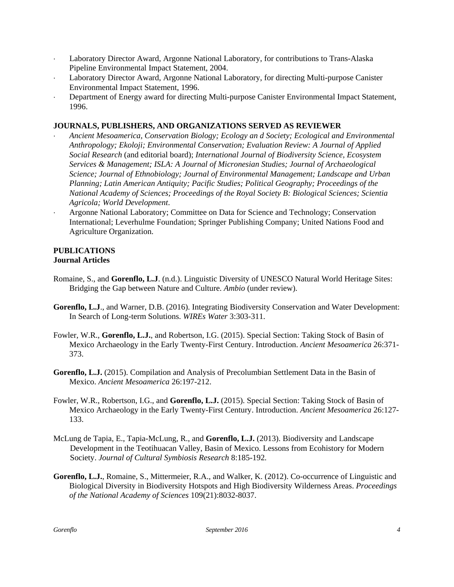- Laboratory Director Award, Argonne National Laboratory, for contributions to Trans-Alaska Pipeline Environmental Impact Statement, 2004.
- Laboratory Director Award, Argonne National Laboratory, for directing Multi-purpose Canister Environmental Impact Statement, 1996.
- Department of Energy award for directing Multi-purpose Canister Environmental Impact Statement, 1996.

## **JOURNALS, PUBLISHERS, AND ORGANIZATIONS SERVED AS REVIEWER**

- ⋅ *Ancient Mesoamerica, Conservation Biology; Ecology an d Society; Ecological and Environmental Anthropology; Ekoloji; Environmental Conservation; Evaluation Review: A Journal of Applied Social Research* (and editorial board); *International Journal of Biodiversity Science, Ecosystem Services & Management; ISLA: A Journal of Micronesian Studies; Journal of Archaeological Science; Journal of Ethnobiology; Journal of Environmental Management; Landscape and Urban Planning; Latin American Antiquity; Pacific Studies; Political Geography; Proceedings of the National Academy of Sciences; Proceedings of the Royal Society B: Biological Sciences; Scientia Agricola; World Development*.
- ⋅ Argonne National Laboratory; Committee on Data for Science and Technology; Conservation International; Leverhulme Foundation; Springer Publishing Company; United Nations Food and Agriculture Organization.

#### **PUBLICATIONS Journal Articles**

- Romaine, S., and **Gorenflo, L.J**. (n.d.). Linguistic Diversity of UNESCO Natural World Heritage Sites: Bridging the Gap between Nature and Culture. *Ambio* (under review).
- **Gorenflo, L.J**., and Warner, D.B. (2016). Integrating Biodiversity Conservation and Water Development: In Search of Long-term Solutions. *WIREs Water* 3:303-311.
- Fowler, W.R., **Gorenflo, L.J.**, and Robertson, I.G. (2015). Special Section: Taking Stock of Basin of Mexico Archaeology in the Early Twenty-First Century. Introduction. *Ancient Mesoamerica* 26:371- 373.
- **Gorenflo, L.J.** (2015). Compilation and Analysis of Precolumbian Settlement Data in the Basin of Mexico. *Ancient Mesoamerica* 26:197-212.
- Fowler, W.R., Robertson, I.G., and **Gorenflo, L.J.** (2015). Special Section: Taking Stock of Basin of Mexico Archaeology in the Early Twenty-First Century. Introduction. *Ancient Mesoamerica* 26:127- 133.
- McLung de Tapia, E., Tapia-McLung, R., and **Gorenflo, L.J.** (2013). Biodiversity and Landscape Development in the Teotihuacan Valley, Basin of Mexico. Lessons from Ecohistory for Modern Society. *Journal of Cultural Symbiosis Research* 8:185-192*.*
- **Gorenflo, L.J.**, Romaine, S., Mittermeier, R.A., and Walker, K. (2012). Co-occurrence of Linguistic and Biological Diversity in Biodiversity Hotspots and High Biodiversity Wilderness Areas. *Proceedings of the National Academy of Sciences* 109(21):8032-8037.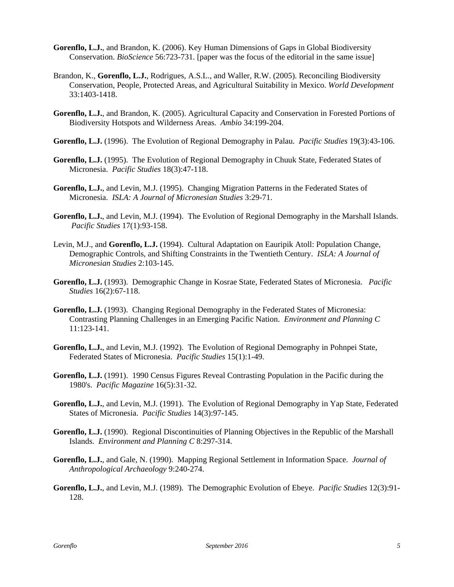- **Gorenflo, L.J.**, and Brandon, K. (2006). Key Human Dimensions of Gaps in Global Biodiversity Conservation. *BioScience* 56:723-731. [paper was the focus of the editorial in the same issue]
- Brandon, K., **Gorenflo, L.J.**, Rodrigues, A.S.L., and Waller, R.W. (2005). Reconciling Biodiversity Conservation, People, Protected Areas, and Agricultural Suitability in Mexico. *World Development*  33:1403-1418.
- **Gorenflo, L.J.**, and Brandon, K. (2005). Agricultural Capacity and Conservation in Forested Portions of Biodiversity Hotspots and Wilderness Areas. *Ambio* 34:199-204.
- **Gorenflo, L.J.** (1996). The Evolution of Regional Demography in Palau. *Pacific Studies* 19(3):43-106.
- **Gorenflo, L.J.** (1995). The Evolution of Regional Demography in Chuuk State, Federated States of Micronesia. *Pacific Studies* 18(3):47-118.
- **Gorenflo, L.J.**, and Levin, M.J. (1995). Changing Migration Patterns in the Federated States of Micronesia. *ISLA: A Journal of Micronesian Studies* 3:29-71.
- **Gorenflo, L.J.**, and Levin, M.J. (1994). The Evolution of Regional Demography in the Marshall Islands. *Pacific Studies* 17(1):93-158.
- Levin, M.J., and **Gorenflo, L.J.** (1994). Cultural Adaptation on Eauripik Atoll: Population Change, Demographic Controls, and Shifting Constraints in the Twentieth Century. *ISLA: A Journal of Micronesian Studies* 2:103-145.
- **Gorenflo, L.J.** (1993). Demographic Change in Kosrae State, Federated States of Micronesia. *Pacific Studies* 16(2):67-118.
- **Gorenflo, L.J.** (1993). Changing Regional Demography in the Federated States of Micronesia: Contrasting Planning Challenges in an Emerging Pacific Nation. *Environment and Planning C* 11:123-141.
- **Gorenflo, L.J.**, and Levin, M.J. (1992). The Evolution of Regional Demography in Pohnpei State, Federated States of Micronesia. *Pacific Studies* 15(1):1-49.
- **Gorenflo, L.J.** (1991). 1990 Census Figures Reveal Contrasting Population in the Pacific during the 1980's. *Pacific Magazine* 16(5):31-32.
- **Gorenflo, L.J.**, and Levin, M.J. (1991). The Evolution of Regional Demography in Yap State, Federated States of Micronesia. *Pacific Studies* 14(3):97-145.
- Gorenflo, L.J. (1990). Regional Discontinuities of Planning Objectives in the Republic of the Marshall Islands. *Environment and Planning C* 8:297-314.
- **Gorenflo, L.J.**, and Gale, N. (1990). Mapping Regional Settlement in Information Space. *Journal of Anthropological Archaeology* 9:240-274.
- **Gorenflo, L.J.**, and Levin, M.J. (1989). The Demographic Evolution of Ebeye. *Pacific Studies* 12(3):91- 128.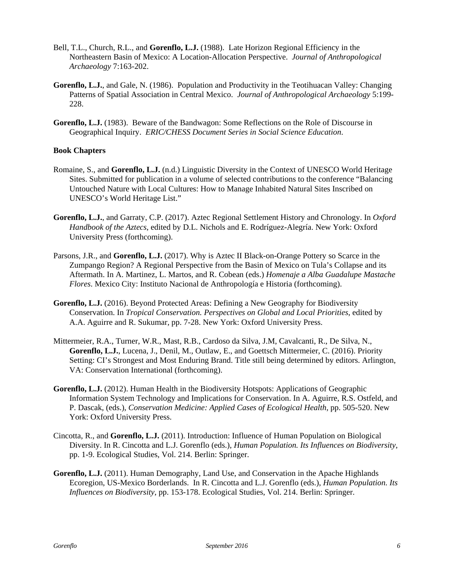- Bell, T.L., Church, R.L., and **Gorenflo, L.J.** (1988). Late Horizon Regional Efficiency in the Northeastern Basin of Mexico: A Location-Allocation Perspective. *Journal of Anthropological Archaeology* 7:163-202.
- **Gorenflo, L.J.**, and Gale, N. (1986). Population and Productivity in the Teotihuacan Valley: Changing Patterns of Spatial Association in Central Mexico. *Journal of Anthropological Archaeology* 5:199- 228.
- **Gorenflo, L.J.** (1983). Beware of the Bandwagon: Some Reflections on the Role of Discourse in Geographical Inquiry. *ERIC/CHESS Document Series in Social Science Education*.

## **Book Chapters**

- Romaine, S., and **Gorenflo, L.J.** (n.d.) Linguistic Diversity in the Context of UNESCO World Heritage Sites. Submitted for publication in a volume of selected contributions to the conference "Balancing Untouched Nature with Local Cultures: How to Manage Inhabited Natural Sites Inscribed on UNESCO's World Heritage List."
- **Gorenflo, L.J.**, and Garraty, C.P. (2017). Aztec Regional Settlement History and Chronology. In *Oxford Handbook of the Aztecs*, edited by D.L. Nichols and E. Rodríguez-Alegría. New York: Oxford University Press (forthcoming).
- Parsons, J.R., and **Gorenflo, L.J.** (2017). Why is Aztec II Black-on-Orange Pottery so Scarce in the Zumpango Region? A Regional Perspective from the Basin of Mexico on Tula's Collapse and its Aftermath. In A. Martinez, L. Martos, and R. Cobean (eds.) *Homenaje a Alba Guadalupe Mastache Flores*. Mexico City: Instituto Nacional de Anthropología e Historia (forthcoming).
- **Gorenflo, L.J.** (2016). Beyond Protected Areas: Defining a New Geography for Biodiversity Conservation. In *Tropical Conservation. Perspectives on Global and Local Priorities*, edited by A.A. Aguirre and R. Sukumar, pp. 7-28. New York: Oxford University Press.
- Mittermeier, R.A., Turner, W.R., Mast, R.B., Cardoso da Silva, J.M, Cavalcanti, R., De Silva, N., **Gorenflo, L.J.**, Lucena, J., Denil, M., Outlaw, E., and Goettsch Mittermeier, C. (2016). Priority Setting: CI's Strongest and Most Enduring Brand. Title still being determined by editors. Arlington, VA: Conservation International (forthcoming).
- **Gorenflo, L.J.** (2012). Human Health in the Biodiversity Hotspots: Applications of Geographic Information System Technology and Implications for Conservation. In A. Aguirre, R.S. Ostfeld, and P. Dascak, (eds.), *Conservation Medicine: Applied Cases of Ecological Health*, pp. 505-520. New York: Oxford University Press.
- Cincotta, R., and **Gorenflo, L.J.** (2011). Introduction: Influence of Human Population on Biological Diversity. In R. Cincotta and L.J. Gorenflo (eds.), *Human Population. Its Influences on Biodiversity*, pp. 1-9. Ecological Studies, Vol. 214. Berlin: Springer.
- **Gorenflo, L.J.** (2011). Human Demography, Land Use, and Conservation in the Apache Highlands Ecoregion, US-Mexico Borderlands. In R. Cincotta and L.J. Gorenflo (eds.), *Human Population. Its Influences on Biodiversity*, pp. 153-178. Ecological Studies, Vol. 214. Berlin: Springer.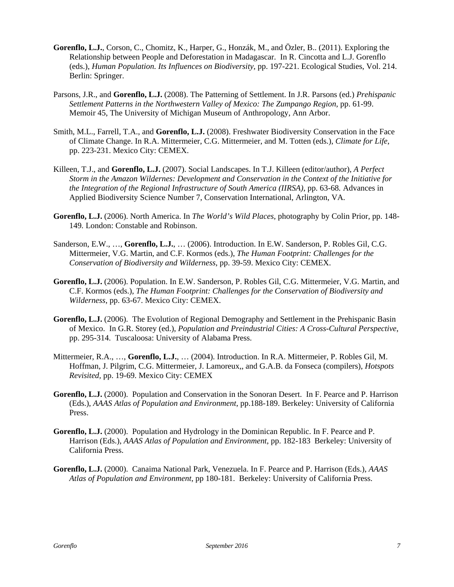- **Gorenflo, L.J.**, Corson, C., Chomitz, K., Harper, G., Honzák, M., and Özler, B.. (2011). Exploring the Relationship between People and Deforestation in Madagascar. In R. Cincotta and L.J. Gorenflo (eds.), *Human Population. Its Influences on Biodiversity*, pp. 197-221. Ecological Studies, Vol. 214. Berlin: Springer.
- Parsons, J.R., and **Gorenflo, L.J.** (2008). The Patterning of Settlement. In J.R. Parsons (ed.) *Prehispanic Settlement Patterns in the Northwestern Valley of Mexico: The Zumpango Region*, pp. 61-99. Memoir 45, The University of Michigan Museum of Anthropology, Ann Arbor.
- Smith, M.L., Farrell, T.A., and **Gorenflo, L.J.** (2008). Freshwater Biodiversity Conservation in the Face of Climate Change. In R.A. Mittermeier, C.G. Mittermeier, and M. Totten (eds.), *Climate for Life*, pp. 223-231. Mexico City: CEMEX.
- Killeen, T.J., and **Gorenflo, L.J.** (2007). Social Landscapes. In T.J. Killeen (editor/author), *A Perfect Storm in the Amazon Wildernes: Development and Conservation in the Context of the Initiative for the Integration of the Regional Infrastructure of South America (IIRSA)*, pp. 63-68*.* Advances in Applied Biodiversity Science Number 7, Conservation International, Arlington, VA.
- **Gorenflo, L.J.** (2006). North America. In *The World's Wild Places,* photography by Colin Prior, pp. 148- 149*.* London: Constable and Robinson.
- Sanderson, E.W., …, **Gorenflo, L.J.**, … (2006). Introduction. In E.W. Sanderson, P. Robles Gil, C.G. Mittermeier, V.G. Martin, and C.F. Kormos (eds.), *The Human Footprint: Challenges for the Conservation of Biodiversity and Wilderness*, pp. 39-59. Mexico City: CEMEX.
- **Gorenflo, L.J.** (2006). Population. In E.W. Sanderson, P. Robles Gil, C.G. Mittermeier, V.G. Martin, and C.F. Kormos (eds.), *The Human Footprint: Challenges for the Conservation of Biodiversity and Wilderness*, pp. 63-67. Mexico City: CEMEX.
- **Gorenflo, L.J.** (2006). The Evolution of Regional Demography and Settlement in the Prehispanic Basin of Mexico. In G.R. Storey (ed.), *Population and Preindustrial Cities: A Cross-Cultural Perspective*, pp. 295-314. Tuscaloosa: University of Alabama Press.
- Mittermeier, R.A., …, **Gorenflo, L.J.**, … (2004). Introduction. In R.A. Mittermeier, P. Robles Gil, M. Hoffman, J. Pilgrim, C.G. Mittermeier, J. Lamoreux,, and G.A.B. da Fonseca (compilers), *Hotspots Revisited,* pp. 19-69. Mexico City: CEMEX
- **Gorenflo, L.J.** (2000). Population and Conservation in the Sonoran Desert. In F. Pearce and P. Harrison (Eds.), *AAAS Atlas of Population and Environment*, pp.188-189. Berkeley: University of California Press.
- **Gorenflo, L.J.** (2000). Population and Hydrology in the Dominican Republic. In F. Pearce and P. Harrison (Eds.), *AAAS Atlas of Population and Environment*, pp. 182-183 Berkeley: University of California Press.
- **Gorenflo, L.J.** (2000). Canaima National Park, Venezuela. In F. Pearce and P. Harrison (Eds.), *AAAS Atlas of Population and Environment*, pp 180-181. Berkeley: University of California Press.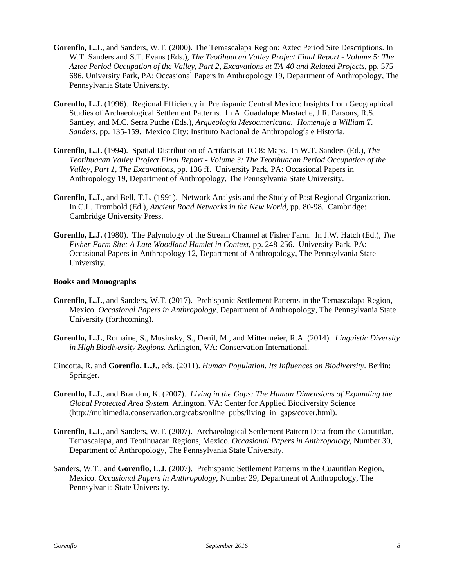- **Gorenflo, L.J.**, and Sanders, W.T. (2000). The Temascalapa Region: Aztec Period Site Descriptions. In W.T. Sanders and S.T. Evans (Eds.), *The Teotihuacan Valley Project Final Report - Volume 5: The Aztec Period Occupation of the Valley, Part 2, Excavations at TA-40 and Related Projects*, pp. 575- 686. University Park, PA: Occasional Papers in Anthropology 19, Department of Anthropology, The Pennsylvania State University.
- **Gorenflo, L.J.** (1996). Regional Efficiency in Prehispanic Central Mexico: Insights from Geographical Studies of Archaeological Settlement Patterns. In A. Guadalupe Mastache, J.R. Parsons, R.S. Santley, and M.C. Serra Puche (Eds.), *Arqueología Mesoamericana. Homenaje a William T. Sanders*, pp. 135-159. Mexico City: Instituto Nacional de Anthropología e Historia.
- **Gorenflo, L.J.** (1994). Spatial Distribution of Artifacts at TC-8: Maps. In W.T. Sanders (Ed.), *The Teotihuacan Valley Project Final Report - Volume 3: The Teotihuacan Period Occupation of the Valley, Part 1, The Excavations*, pp. 136 ff. University Park, PA: Occasional Papers in Anthropology 19, Department of Anthropology, The Pennsylvania State University.
- **Gorenflo, L.J.**, and Bell, T.L. (1991). Network Analysis and the Study of Past Regional Organization. In C.L. Trombold (Ed.), *Ancient Road Networks in the New World*, pp. 80-98. Cambridge: Cambridge University Press.
- **Gorenflo, L.J.** (1980). The Palynology of the Stream Channel at Fisher Farm. In J.W. Hatch (Ed.), *The Fisher Farm Site: A Late Woodland Hamlet in Context*, pp. 248-256. University Park, PA: Occasional Papers in Anthropology 12, Department of Anthropology, The Pennsylvania State University.

## **Books and Monographs**

- **Gorenflo, L.J.**, and Sanders, W.T. (2017). Prehispanic Settlement Patterns in the Temascalapa Region, Mexico. *Occasional Papers in Anthropology*, Department of Anthropology, The Pennsylvania State University (forthcoming).
- **Gorenflo, L.J.**, Romaine, S., Musinsky, S., Denil, M., and Mittermeier, R.A. (2014). *Linguistic Diversity in High Biodiversity Regions.* Arlington, VA: Conservation International.
- Cincotta, R. and **Gorenflo, L.J.**, eds. (2011). *Human Population. Its Influences on Biodiversity*. Berlin: Springer.
- **Gorenflo, L.J.**, and Brandon, K. (2007). *Living in the Gaps: The Human Dimensions of Expanding the Global Protected Area System.* Arlington, VA: Center for Applied Biodiversity Science (http://multimedia.conservation.org/cabs/online\_pubs/living\_in\_gaps/cover.html).
- **Gorenflo, L.J.**, and Sanders, W.T. (2007). Archaeological Settlement Pattern Data from the Cuautitlan, Temascalapa, and Teotihuacan Regions, Mexico. *Occasional Papers in Anthropology*, Number 30, Department of Anthropology, The Pennsylvania State University.
- Sanders, W.T., and **Gorenflo, L.J.** (2007). Prehispanic Settlement Patterns in the Cuautitlan Region, Mexico. *Occasional Papers in Anthropology*, Number 29, Department of Anthropology, The Pennsylvania State University.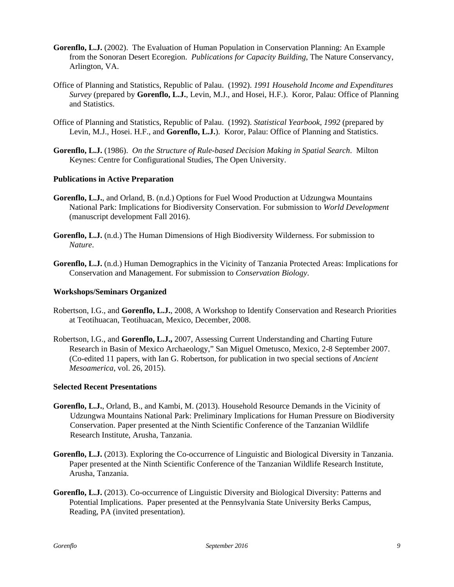- **Gorenflo, L.J.** (2002). The Evaluation of Human Population in Conservation Planning: An Example from the Sonoran Desert Ecoregion. *Publications for Capacity Building*, The Nature Conservancy, Arlington, VA.
- Office of Planning and Statistics, Republic of Palau. (1992). *1991 Household Income and Expenditures Survey* (prepared by **Gorenflo, L.J.**, Levin, M.J., and Hosei, H.F.). Koror, Palau: Office of Planning and Statistics.
- Office of Planning and Statistics, Republic of Palau. (1992). *Statistical Yearbook, 1992* (prepared by Levin, M.J., Hosei. H.F., and **Gorenflo, L.J.**). Koror, Palau: Office of Planning and Statistics.
- **Gorenflo, L.J.** (1986). *On the Structure of Rule-based Decision Making in Spatial Search*. Milton Keynes: Centre for Configurational Studies, The Open University.

## **Publications in Active Preparation**

- **Gorenflo, L.J.**, and Orland, B. (n.d.) Options for Fuel Wood Production at Udzungwa Mountains National Park: Implications for Biodiversity Conservation. For submission to *World Development* (manuscript development Fall 2016).
- **Gorenflo, L.J.** (n.d.) The Human Dimensions of High Biodiversity Wilderness. For submission to *Nature*.
- **Gorenflo, L.J.** (n.d.) Human Demographics in the Vicinity of Tanzania Protected Areas: Implications for Conservation and Management. For submission to *Conservation Biology*.

## **Workshops/Seminars Organized**

- Robertson, I.G., and **Gorenflo, L.J.**, 2008, A Workshop to Identify Conservation and Research Priorities at Teotihuacan, Teotihuacan, Mexico, December, 2008.
- Robertson, I.G., and **Gorenflo, L.J.,** 2007, Assessing Current Understanding and Charting Future Research in Basin of Mexico Archaeology," San Miguel Ometusco, Mexico, 2-8 September 2007. (Co-edited 11 papers, with Ian G. Robertson, for publication in two special sections of *Ancient Mesoamerica*, vol. 26, 2015).

## **Selected Recent Presentations**

- **Gorenflo, L.J.**, Orland, B., and Kambi, M. (2013). Household Resource Demands in the Vicinity of Udzungwa Mountains National Park: Preliminary Implications for Human Pressure on Biodiversity Conservation. Paper presented at the Ninth Scientific Conference of the Tanzanian Wildlife Research Institute, Arusha, Tanzania.
- **Gorenflo, L.J.** (2013). Exploring the Co-occurrence of Linguistic and Biological Diversity in Tanzania. Paper presented at the Ninth Scientific Conference of the Tanzanian Wildlife Research Institute, Arusha, Tanzania.
- **Gorenflo, L.J.** (2013). Co-occurrence of Linguistic Diversity and Biological Diversity: Patterns and Potential Implications. Paper presented at the Pennsylvania State University Berks Campus, Reading, PA (invited presentation).